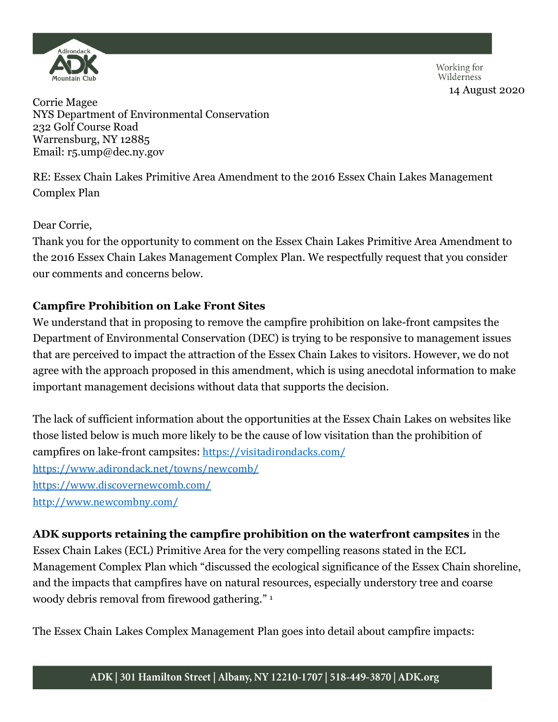

Working for Wilderness 14 August 2020

Corrie Magee NYS Department of Environmental Conservation 232 Golf Course Road Warrensburg, NY 12885 Email: r5.ump@dec.ny.gov

RE: Essex Chain Lakes Primitive Area Amendment to the 2016 Essex Chain Lakes Management Complex Plan

Dear Corrie,

Thank you for the opportunity to comment on the Essex Chain Lakes Primitive Area Amendment to the 2016 Essex Chain Lakes Management Complex Plan. We respectfully request that you consider our comments and concerns below.

## **Campfire Prohibition on Lake Front Sites**

We understand that in proposing to remove the campfire prohibition on lake-front campsites the Department of Environmental Conservation (DEC) is trying to be responsive to management issues that are perceived to impact the attraction of the Essex Chain Lakes to visitors. However, we do not agree with the approach proposed in this amendment, which is using anecdotal information to make important management decisions without data that supports the decision.

The lack of sufficient information about the opportunities at the Essex Chain Lakes on websites like those listed below is much more likely to be the cause of low visitation than the prohibition of campfires on lake-front campsites: <https://visitadirondacks.com/> <https://www.adirondack.net/towns/newcomb/> <https://www.discovernewcomb.com/> <http://www.newcombny.com/>

**ADK supports retaining the campfire prohibition on the waterfront campsites** in the

Essex Chain Lakes (ECL) Primitive Area for the very compelling reasons stated in the ECL Management Complex Plan which "discussed the ecological significance of the Essex Chain shoreline, and the impacts that campfires have on natural resources, especially understory tree and coarse woody debris removal from firewood gathering." <sup>1</sup>

The Essex Chain Lakes Complex Management Plan goes into detail about campfire impacts: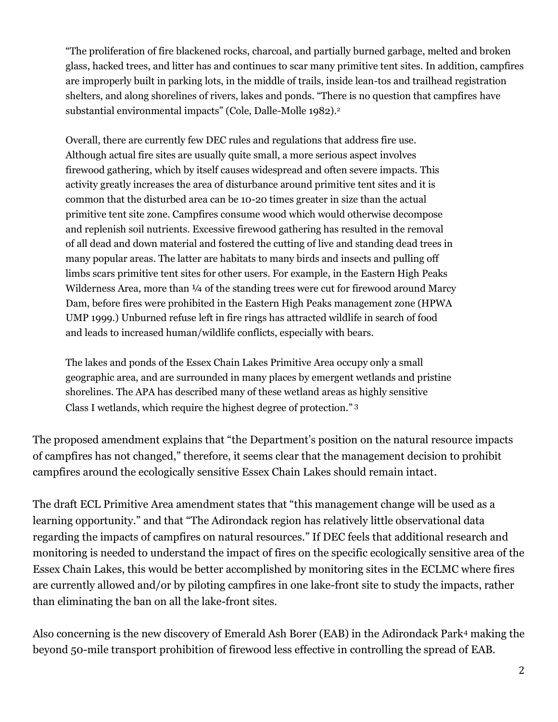"The proliferation of fire blackened rocks, charcoal, and partially burned garbage, melted and broken glass, hacked trees, and litter has and continues to scar many primitive tent sites. In addition, campfires are improperly built in parking lots, in the middle of trails, inside lean-tos and trailhead registration shelters, and along shorelines of rivers, lakes and ponds. "There is no question that campfires have substantial environmental impacts" (Cole, Dalle-Molle 1982).<sup>2</sup>

Overall, there are currently few DEC rules and regulations that address fire use. Although actual fire sites are usually quite small, a more serious aspect involves firewood gathering, which by itself causes widespread and often severe impacts. This activity greatly increases the area of disturbance around primitive tent sites and it is common that the disturbed area can be 10-20 times greater in size than the actual primitive tent site zone. Campfires consume wood which would otherwise decompose and replenish soil nutrients. Excessive firewood gathering has resulted in the removal of all dead and down material and fostered the cutting of live and standing dead trees in many popular areas. The latter are habitats to many birds and insects and pulling off limbs scars primitive tent sites for other users. For example, in the Eastern High Peaks Wilderness Area, more than  $\frac{1}{4}$  of the standing trees were cut for firewood around Marcy Dam, before fires were prohibited in the Eastern High Peaks management zone (HPWA UMP 1999.) Unburned refuse left in fire rings has attracted wildlife in search of food and leads to increased human/wildlife conflicts, especially with bears.

The lakes and ponds of the Essex Chain Lakes Primitive Area occupy only a small geographic area, and are surrounded in many places by emergent wetlands and pristine shorelines. The APA has described many of these wetland areas as highly sensitive Class I wetlands, which require the highest degree of protection." 3

The proposed amendment explains that "the Department's position on the natural resource impacts of campfires has not changed," therefore, it seems clear that the management decision to prohibit campfires around the ecologically sensitive Essex Chain Lakes should remain intact.

The draft ECL Primitive Area amendment states that "this management change will be used as a learning opportunity." and that "The Adirondack region has relatively little observational data regarding the impacts of campfires on natural resources." If DEC feels that additional research and monitoring is needed to understand the impact of fires on the specific ecologically sensitive area of the Essex Chain Lakes, this would be better accomplished by monitoring sites in the ECLMC where fires are currently allowed and/or by piloting campfires in one lake-front site to study the impacts, rather than eliminating the ban on all the lake-front sites.

Also concerning is the new discovery of Emerald Ash Borer (EAB) in the Adirondack Park<sup>4</sup> making the beyond 50-mile transport prohibition of firewood less effective in controlling the spread of EAB.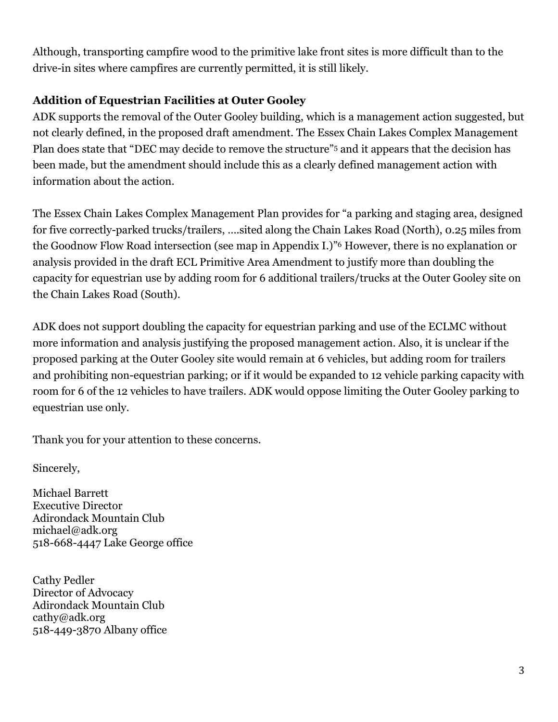Although, transporting campfire wood to the primitive lake front sites is more difficult than to the drive-in sites where campfires are currently permitted, it is still likely.

## **Addition of Equestrian Facilities at Outer Gooley**

ADK supports the removal of the Outer Gooley building, which is a management action suggested, but not clearly defined, in the proposed draft amendment. The Essex Chain Lakes Complex Management Plan does state that "DEC may decide to remove the structure"<sup>5</sup> and it appears that the decision has been made, but the amendment should include this as a clearly defined management action with information about the action.

The Essex Chain Lakes Complex Management Plan provides for "a parking and staging area, designed for five correctly-parked trucks/trailers, ….sited along the Chain Lakes Road (North), 0.25 miles from the Goodnow Flow Road intersection (see map in Appendix I.)" <sup>6</sup> However, there is no explanation or analysis provided in the draft ECL Primitive Area Amendment to justify more than doubling the capacity for equestrian use by adding room for 6 additional trailers/trucks at the Outer Gooley site on the Chain Lakes Road (South).

ADK does not support doubling the capacity for equestrian parking and use of the ECLMC without more information and analysis justifying the proposed management action. Also, it is unclear if the proposed parking at the Outer Gooley site would remain at 6 vehicles, but adding room for trailers and prohibiting non-equestrian parking; or if it would be expanded to 12 vehicle parking capacity with room for 6 of the 12 vehicles to have trailers. ADK would oppose limiting the Outer Gooley parking to equestrian use only.

Thank you for your attention to these concerns.

Sincerely,

Michael Barrett Executive Director Adirondack Mountain Club michael@adk.org 518-668-4447 Lake George office

Cathy Pedler Director of Advocacy Adirondack Mountain Club [cathy@adk.org](mailto:cathy@adk.org) [518-449-3870 A](tel:%28518%29%20449-3870)lbany office